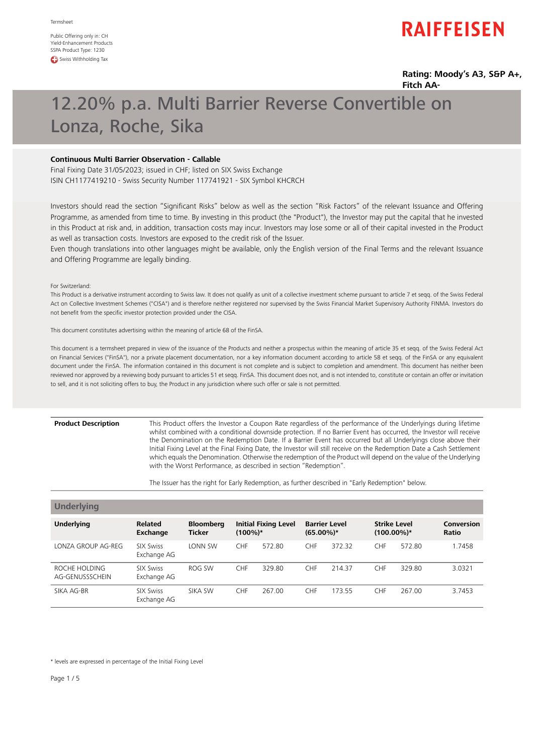Public Offering only in: CH Yield-Enhancement Products SSPA Product Type: 1230 **CD** Swiss Withholding Tax

# **RAIFFEISEN**

### **Rating: Moody's A3, S&P A+, Fitch AA-**

# 12.20% p.a. Multi Barrier Reverse Convertible on Lonza, Roche, Sika

# **Continuous Multi Barrier Observation - Callable**

Final Fixing Date 31/05/2023; issued in CHF; listed on SIX Swiss Exchange ISIN CH1177419210 - Swiss Security Number 117741921 - SIX Symbol KHCRCH

Investors should read the section "Significant Risks" below as well as the section "Risk Factors" of the relevant Issuance and Offering Programme, as amended from time to time. By investing in this product (the "Product"), the Investor may put the capital that he invested in this Product at risk and, in addition, transaction costs may incur. Investors may lose some or all of their capital invested in the Product as well as transaction costs. Investors are exposed to the credit risk of the Issuer.

Even though translations into other languages might be available, only the English version of the Final Terms and the relevant Issuance and Offering Programme are legally binding.

For Switzerland:

This Product is a derivative instrument according to Swiss law. It does not qualify as unit of a collective investment scheme pursuant to article 7 et seqq. of the Swiss Federal Act on Collective Investment Schemes ("CISA") and is therefore neither registered nor supervised by the Swiss Financial Market Supervisory Authority FINMA. Investors do not benefit from the specific investor protection provided under the CISA.

This document constitutes advertising within the meaning of article 68 of the FinSA.

This document is a termsheet prepared in view of the issuance of the Products and neither a prospectus within the meaning of article 35 et seqq. of the Swiss Federal Act on Financial Services ("FinSA"), nor a private placement documentation, nor a key information document according to article 58 et seqq. of the FinSA or any equivalent document under the FinSA. The information contained in this document is not complete and is subject to completion and amendment. This document has neither been reviewed nor approved by a reviewing body pursuant to articles 51 et seqq. FinSA. This document does not, and is not intended to, constitute or contain an offer or invitation to sell, and it is not soliciting offers to buy, the Product in any jurisdiction where such offer or sale is not permitted.

#### **Product Description**

This Product offers the Investor a Coupon Rate regardless of the performance of the Underlyings during lifetime whilst combined with a conditional downside protection. If no Barrier Event has occurred, the Investor will receive the Denomination on the Redemption Date. If a Barrier Event has occurred but all Underlyings close above their Initial Fixing Level at the Final Fixing Date, the Investor will still receive on the Redemption Date a Cash Settlement which equals the Denomination. Otherwise the redemption of the Product will depend on the value of the Underlying with the Worst Performance, as described in section "Redemption".

The Issuer has the right for Early Redemption, as further described in "Early Redemption" below.

| <b>Underlying</b>                |                                 |                                   |            |                             |                                      |        |                                      |        |                            |
|----------------------------------|---------------------------------|-----------------------------------|------------|-----------------------------|--------------------------------------|--------|--------------------------------------|--------|----------------------------|
| <b>Underlying</b>                | <b>Related</b><br>Exchange      | <b>Bloomberg</b><br><b>Ticker</b> | $(100\%)*$ | <b>Initial Fixing Level</b> | <b>Barrier Level</b><br>$(65.00\%)*$ |        | <b>Strike Level</b><br>$(100.00\%)*$ |        | Conversion<br><b>Ratio</b> |
| LONZA GROUP AG-REG               | <b>SIX Swiss</b><br>Exchange AG | LONN SW                           | <b>CHF</b> | 572.80                      | <b>CHF</b>                           | 372.32 | <b>CHF</b>                           | 572.80 | 1.7458                     |
| ROCHE HOLDING<br>AG-GENUSSSCHEIN | <b>SIX Swiss</b><br>Exchange AG | ROG SW                            | <b>CHF</b> | 329.80                      | <b>CHF</b>                           | 214.37 | <b>CHF</b>                           | 329.80 | 3.0321                     |
| SIKA AG-BR                       | <b>SIX Swiss</b><br>Exchange AG | SIKA SW                           | <b>CHF</b> | 267.00                      | <b>CHF</b>                           | 173.55 | <b>CHF</b>                           | 267.00 | 3.7453                     |

\* levels are expressed in percentage of the Initial Fixing Level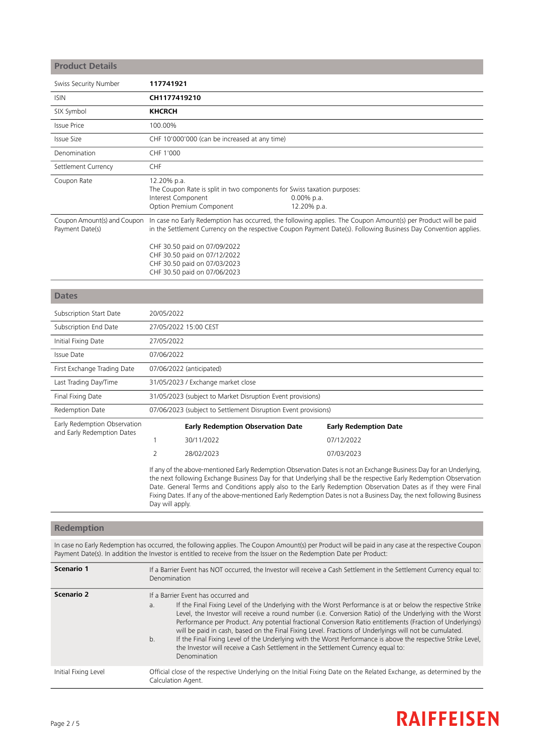| <b>Product Details</b>                                     |                                   |                                                                                                                              |                           |                                                                                                                                                                                                                                          |
|------------------------------------------------------------|-----------------------------------|------------------------------------------------------------------------------------------------------------------------------|---------------------------|------------------------------------------------------------------------------------------------------------------------------------------------------------------------------------------------------------------------------------------|
| Swiss Security Number                                      | 117741921                         |                                                                                                                              |                           |                                                                                                                                                                                                                                          |
| <b>ISIN</b>                                                | CH1177419210                      |                                                                                                                              |                           |                                                                                                                                                                                                                                          |
| SIX Symbol                                                 | <b>KHCRCH</b>                     |                                                                                                                              |                           |                                                                                                                                                                                                                                          |
| <b>Issue Price</b>                                         | 100.00%                           |                                                                                                                              |                           |                                                                                                                                                                                                                                          |
| <b>Issue Size</b>                                          |                                   | CHF 10'000'000 (can be increased at any time)                                                                                |                           |                                                                                                                                                                                                                                          |
| Denomination                                               | CHF 1'000                         |                                                                                                                              |                           |                                                                                                                                                                                                                                          |
| Settlement Currency                                        | CHF                               |                                                                                                                              |                           |                                                                                                                                                                                                                                          |
| Coupon Rate                                                | 12.20% p.a.<br>Interest Component | The Coupon Rate is split in two components for Swiss taxation purposes:<br>Option Premium Component                          | 0.00% p.a.<br>12.20% p.a. |                                                                                                                                                                                                                                          |
| Coupon Amount(s) and Coupon<br>Payment Date(s)             |                                   | CHF 30.50 paid on 07/09/2022<br>CHF 30.50 paid on 07/12/2022<br>CHF 30.50 paid on 07/03/2023<br>CHF 30.50 paid on 07/06/2023 |                           | In case no Early Redemption has occurred, the following applies. The Coupon Amount(s) per Product will be paid<br>in the Settlement Currency on the respective Coupon Payment Date(s). Following Business Day Convention applies.        |
| <b>Dates</b>                                               |                                   |                                                                                                                              |                           |                                                                                                                                                                                                                                          |
| Subscription Start Date                                    | 20/05/2022                        |                                                                                                                              |                           |                                                                                                                                                                                                                                          |
| Subscription End Date                                      |                                   | 27/05/2022 15:00 CEST                                                                                                        |                           |                                                                                                                                                                                                                                          |
| Initial Fixing Date                                        | 27/05/2022                        |                                                                                                                              |                           |                                                                                                                                                                                                                                          |
| Issue Date                                                 | 07/06/2022                        |                                                                                                                              |                           |                                                                                                                                                                                                                                          |
| First Exchange Trading Date                                |                                   | 07/06/2022 (anticipated)                                                                                                     |                           |                                                                                                                                                                                                                                          |
| Last Trading Day/Time                                      |                                   | 31/05/2023 / Exchange market close                                                                                           |                           |                                                                                                                                                                                                                                          |
| Final Fixing Date                                          |                                   | 31/05/2023 (subject to Market Disruption Event provisions)                                                                   |                           |                                                                                                                                                                                                                                          |
| Redemption Date                                            |                                   | 07/06/2023 (subject to Settlement Disruption Event provisions)                                                               |                           |                                                                                                                                                                                                                                          |
| Early Redemption Observation<br>and Early Redemption Dates |                                   | <b>Early Redemption Observation Date</b>                                                                                     |                           | <b>Early Redemption Date</b>                                                                                                                                                                                                             |
|                                                            | $\mathbf{1}$                      | 30/11/2022                                                                                                                   |                           | 07/12/2022                                                                                                                                                                                                                               |
|                                                            | 2                                 | 28/02/2023                                                                                                                   |                           | 07/03/2023                                                                                                                                                                                                                               |
|                                                            |                                   |                                                                                                                              |                           | If any of the above-mentioned Early Redemption Observation Dates is not an Exchange Business Day for an Underlying,<br>the next following Exchange Business Day for that Underlying shall be the respective Early Redemption Observation |

**Redemption**

Day will apply.

In case no Early Redemption has occurred, the following applies. The Coupon Amount(s) per Product will be paid in any case at the respective Coupon Payment Date(s). In addition the Investor is entitled to receive from the Issuer on the Redemption Date per Product:

Date. General Terms and Conditions apply also to the Early Redemption Observation Dates as if they were Final Fixing Dates. If any of the above-mentioned Early Redemption Dates is not a Business Day, the next following Business

| Scenario 1           | If a Barrier Event has NOT occurred, the Investor will receive a Cash Settlement in the Settlement Currency equal to:<br>Denomination                                                                                                                                                                                                                                                                                                                                                                                                                                                                                                                                                                                 |
|----------------------|-----------------------------------------------------------------------------------------------------------------------------------------------------------------------------------------------------------------------------------------------------------------------------------------------------------------------------------------------------------------------------------------------------------------------------------------------------------------------------------------------------------------------------------------------------------------------------------------------------------------------------------------------------------------------------------------------------------------------|
| <b>Scenario 2</b>    | If a Barrier Event has occurred and<br>If the Final Fixing Level of the Underlying with the Worst Performance is at or below the respective Strike<br>a.<br>Level, the Investor will receive a round number (i.e. Conversion Ratio) of the Underlying with the Worst<br>Performance per Product. Any potential fractional Conversion Ratio entitlements (Fraction of Underlyings)<br>will be paid in cash, based on the Final Fixing Level. Fractions of Underlyings will not be cumulated.<br>If the Final Fixing Level of the Underlying with the Worst Performance is above the respective Strike Level,<br>b.<br>the Investor will receive a Cash Settlement in the Settlement Currency equal to:<br>Denomination |
| Initial Fixing Level | Official close of the respective Underlying on the Initial Fixing Date on the Related Exchange, as determined by the<br>Calculation Agent.                                                                                                                                                                                                                                                                                                                                                                                                                                                                                                                                                                            |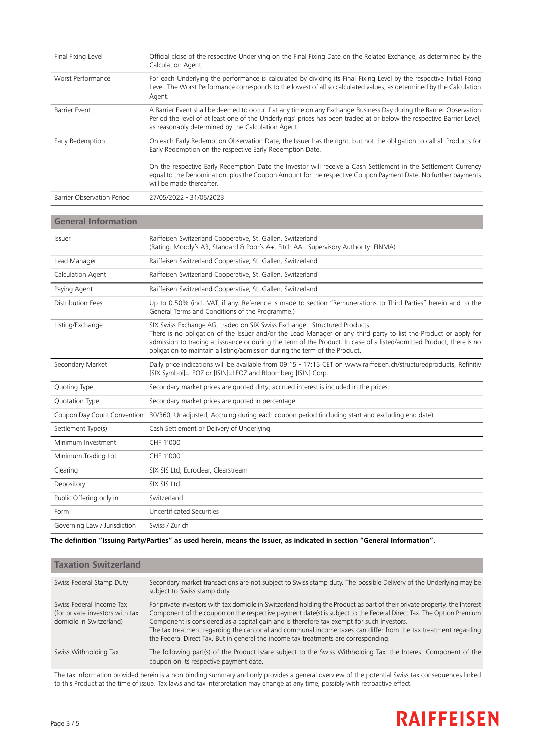| Final Fixing Level         | Official close of the respective Underlying on the Final Fixing Date on the Related Exchange, as determined by the<br>Calculation Agent.                                                                                                                                                           |
|----------------------------|----------------------------------------------------------------------------------------------------------------------------------------------------------------------------------------------------------------------------------------------------------------------------------------------------|
| Worst Performance          | For each Underlying the performance is calculated by dividing its Final Fixing Level by the respective Initial Fixing<br>Level. The Worst Performance corresponds to the lowest of all so calculated values, as determined by the Calculation<br>Agent.                                            |
| Barrier Event              | A Barrier Event shall be deemed to occur if at any time on any Exchange Business Day during the Barrier Observation<br>Period the level of at least one of the Underlyings' prices has been traded at or below the respective Barrier Level,<br>as reasonably determined by the Calculation Agent. |
| Early Redemption           | On each Early Redemption Observation Date, the Issuer has the right, but not the obligation to call all Products for<br>Early Redemption on the respective Early Redemption Date.                                                                                                                  |
|                            | On the respective Early Redemption Date the Investor will receive a Cash Settlement in the Settlement Currency<br>equal to the Denomination, plus the Coupon Amount for the respective Coupon Payment Date. No further payments<br>will be made thereafter.                                        |
| Barrier Observation Period | 27/05/2022 - 31/05/2023                                                                                                                                                                                                                                                                            |

# **General Information**

| Issuer                      | Raiffeisen Switzerland Cooperative, St. Gallen, Switzerland<br>(Rating: Moody's A3, Standard & Poor's A+, Fitch AA-, Supervisory Authority: FINMA)                                                                                                                                                                                                                                                   |
|-----------------------------|------------------------------------------------------------------------------------------------------------------------------------------------------------------------------------------------------------------------------------------------------------------------------------------------------------------------------------------------------------------------------------------------------|
| Lead Manager                | Raiffeisen Switzerland Cooperative, St. Gallen, Switzerland                                                                                                                                                                                                                                                                                                                                          |
| Calculation Agent           | Raiffeisen Switzerland Cooperative, St. Gallen, Switzerland                                                                                                                                                                                                                                                                                                                                          |
| Paying Agent                | Raiffeisen Switzerland Cooperative, St. Gallen, Switzerland                                                                                                                                                                                                                                                                                                                                          |
| Distribution Fees           | Up to 0.50% (incl. VAT, if any. Reference is made to section "Remunerations to Third Parties" herein and to the<br>General Terms and Conditions of the Programme.)                                                                                                                                                                                                                                   |
| Listing/Exchange            | SIX Swiss Exchange AG; traded on SIX Swiss Exchange - Structured Products<br>There is no obligation of the Issuer and/or the Lead Manager or any third party to list the Product or apply for<br>admission to trading at issuance or during the term of the Product. In case of a listed/admitted Product, there is no<br>obligation to maintain a listing/admission during the term of the Product. |
| Secondary Market            | Daily price indications will be available from 09:15 - 17:15 CET on www.raiffeisen.ch/structuredproducts, Refinitiv<br>[SIX Symbol]=LEOZ or [ISIN]=LEOZ and Bloomberg [ISIN] Corp.                                                                                                                                                                                                                   |
| Quoting Type                | Secondary market prices are quoted dirty; accrued interest is included in the prices.                                                                                                                                                                                                                                                                                                                |
| Quotation Type              | Secondary market prices are quoted in percentage.                                                                                                                                                                                                                                                                                                                                                    |
| Coupon Day Count Convention | 30/360; Unadjusted; Accruing during each coupon period (including start and excluding end date).                                                                                                                                                                                                                                                                                                     |
| Settlement Type(s)          | Cash Settlement or Delivery of Underlying                                                                                                                                                                                                                                                                                                                                                            |
| Minimum Investment          | CHF 1'000                                                                                                                                                                                                                                                                                                                                                                                            |
| Minimum Trading Lot         |                                                                                                                                                                                                                                                                                                                                                                                                      |
|                             | CHF 1'000                                                                                                                                                                                                                                                                                                                                                                                            |
| Clearing                    | SIX SIS Ltd, Euroclear, Clearstream                                                                                                                                                                                                                                                                                                                                                                  |
| Depository                  | SIX SIS Ltd                                                                                                                                                                                                                                                                                                                                                                                          |
| Public Offering only in     | Switzerland                                                                                                                                                                                                                                                                                                                                                                                          |
| Form                        | Uncertificated Securities                                                                                                                                                                                                                                                                                                                                                                            |

The definition "Issuing Party/Parties" as used herein, means the Issuer, as indicated in section "General Information".

| <b>Taxation Switzerland</b>                                                             |                                                                                                                                                                                                                                                                                                                                                                                                                                                                                                                                                        |
|-----------------------------------------------------------------------------------------|--------------------------------------------------------------------------------------------------------------------------------------------------------------------------------------------------------------------------------------------------------------------------------------------------------------------------------------------------------------------------------------------------------------------------------------------------------------------------------------------------------------------------------------------------------|
| Swiss Federal Stamp Duty                                                                | Secondary market transactions are not subject to Swiss stamp duty. The possible Delivery of the Underlying may be<br>subject to Swiss stamp duty.                                                                                                                                                                                                                                                                                                                                                                                                      |
| Swiss Federal Income Tax<br>(for private investors with tax<br>domicile in Switzerland) | For private investors with tax domicile in Switzerland holding the Product as part of their private property, the Interest<br>Component of the coupon on the respective payment date(s) is subject to the Federal Direct Tax. The Option Premium<br>Component is considered as a capital gain and is therefore tax exempt for such Investors.<br>The tax treatment regarding the cantonal and communal income taxes can differ from the tax treatment regarding<br>the Federal Direct Tax. But in general the income tax treatments are corresponding. |
| Swiss Withholding Tax                                                                   | The following part(s) of the Product is/are subject to the Swiss Withholding Tax: the Interest Component of the<br>coupon on its respective payment date.                                                                                                                                                                                                                                                                                                                                                                                              |

The tax information provided herein is a non-binding summary and only provides a general overview of the potential Swiss tax consequences linked to this Product at the time of issue. Tax laws and tax interpretation may change at any time, possibly with retroactive effect.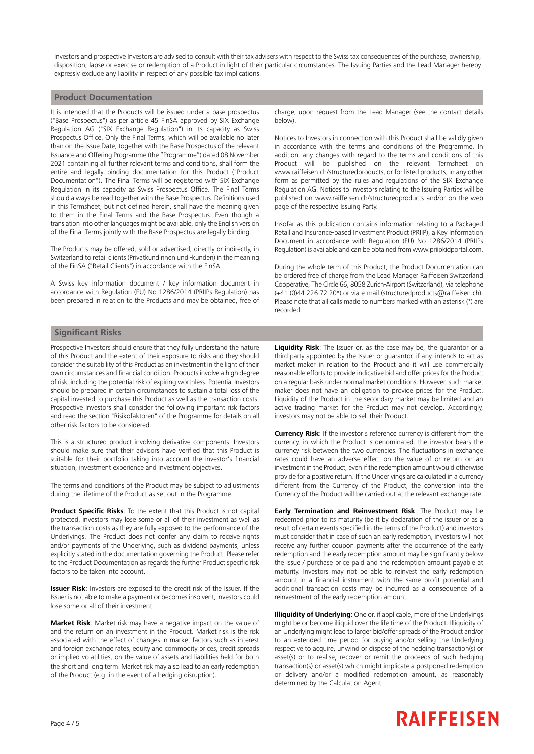Investors and prospective Investors are advised to consult with their tax advisers with respect to the Swiss tax consequences of the purchase, ownership, disposition, lapse or exercise or redemption of a Product in light of their particular circumstances. The Issuing Parties and the Lead Manager hereby expressly exclude any liability in respect of any possible tax implications.

## **Product Documentation**

It is intended that the Products will be issued under a base prospectus ("Base Prospectus") as per article 45 FinSA approved by SIX Exchange Regulation AG ("SIX Exchange Regulation") in its capacity as Swiss Prospectus Office. Only the Final Terms, which will be available no later than on the Issue Date, together with the Base Prospectus of the relevant Issuance and Offering Programme (the "Programme") dated 08 November 2021 containing all further relevant terms and conditions, shall form the entire and legally binding documentation for this Product ("Product Documentation"). The Final Terms will be registered with SIX Exchange Regulation in its capacity as Swiss Prospectus Office. The Final Terms should always be read together with the Base Prospectus. Definitions used in this Termsheet, but not defined herein, shall have the meaning given to them in the Final Terms and the Base Prospectus. Even though a translation into other languages might be available, only the English version of the Final Terms jointly with the Base Prospectus are legally binding.

The Products may be offered, sold or advertised, directly or indirectly, in Switzerland to retail clients (Privatkundinnen und -kunden) in the meaning of the FinSA ("Retail Clients") in accordance with the FinSA.

A Swiss key information document / key information document in accordance with Regulation (EU) No 1286/2014 (PRIIPs Regulation) has been prepared in relation to the Products and may be obtained, free of charge, upon request from the Lead Manager (see the contact details below).

Notices to Investors in connection with this Product shall be validly given in accordance with the terms and conditions of the Programme. In addition, any changes with regard to the terms and conditions of this Product will be published on the relevant Termsheet on www.raiffeisen.ch/structuredproducts, or for listed products, in any other form as permitted by the rules and regulations of the SIX Exchange Regulation AG. Notices to Investors relating to the Issuing Parties will be published on www.raiffeisen.ch/structuredproducts and/or on the web page of the respective Issuing Party.

Insofar as this publication contains information relating to a Packaged Retail and Insurance-based Investment Product (PRIIP), a Key Information Document in accordance with Regulation (EU) No 1286/2014 (PRIIPs Regulation) is available and can be obtained from www.priipkidportal.com.

During the whole term of this Product, the Product Documentation can be ordered free of charge from the Lead Manager Raiffeisen Switzerland Cooperative, The Circle 66, 8058 Zurich-Airport (Switzerland), via telephone (+41 (0)44 226 72 20\*) or via e-mail (structuredproducts@raiffeisen.ch). Please note that all calls made to numbers marked with an asterisk (\*) are recorded.

## **Significant Risks**

Prospective Investors should ensure that they fully understand the nature of this Product and the extent of their exposure to risks and they should consider the suitability of this Product as an investment in the light of their own circumstances and financial condition. Products involve a high degree of risk, including the potential risk of expiring worthless. Potential Investors should be prepared in certain circumstances to sustain a total loss of the capital invested to purchase this Product as well as the transaction costs. Prospective Investors shall consider the following important risk factors and read the section "Risikofaktoren" of the Programme for details on all other risk factors to be considered.

This is a structured product involving derivative components. Investors should make sure that their advisors have verified that this Product is suitable for their portfolio taking into account the investor's financial situation, investment experience and investment objectives.

The terms and conditions of the Product may be subject to adjustments during the lifetime of the Product as set out in the Programme.

**Product Specific Risks**: To the extent that this Product is not capital protected, investors may lose some or all of their investment as well as the transaction costs as they are fully exposed to the performance of the Underlyings. The Product does not confer any claim to receive rights and/or payments of the Underlying, such as dividend payments, unless explicitly stated in the documentation governing the Product. Please refer to the Product Documentation as regards the further Product specific risk factors to be taken into account.

**Issuer Risk**: Investors are exposed to the credit risk of the Issuer. If the Issuer is not able to make a payment or becomes insolvent, investors could lose some or all of their investment.

**Market Risk**: Market risk may have a negative impact on the value of and the return on an investment in the Product. Market risk is the risk associated with the effect of changes in market factors such as interest and foreign exchange rates, equity and commodity prices, credit spreads or implied volatilities, on the value of assets and liabilities held for both the short and long term. Market risk may also lead to an early redemption of the Product (e.g. in the event of a hedging disruption).

**Liquidity Risk**: The Issuer or, as the case may be, the guarantor or a third party appointed by the Issuer or guarantor, if any, intends to act as market maker in relation to the Product and it will use commercially reasonable efforts to provide indicative bid and offer prices for the Product on a regular basis under normal market conditions. However, such market maker does not have an obligation to provide prices for the Product. Liquidity of the Product in the secondary market may be limited and an active trading market for the Product may not develop. Accordingly, investors may not be able to sell their Product.

**Currency Risk**: If the investor's reference currency is different from the currency, in which the Product is denominated, the investor bears the currency risk between the two currencies. The fluctuations in exchange rates could have an adverse effect on the value of or return on an investment in the Product, even if the redemption amount would otherwise provide for a positive return. If the Underlyings are calculated in a currency different from the Currency of the Product, the conversion into the Currency of the Product will be carried out at the relevant exchange rate.

**Early Termination and Reinvestment Risk**: The Product may be redeemed prior to its maturity (be it by declaration of the issuer or as a result of certain events specified in the terms of the Product) and investors must consider that in case of such an early redemption, investors will not receive any further coupon payments after the occurrence of the early redemption and the early redemption amount may be significantly below the issue / purchase price paid and the redemption amount payable at maturity. Investors may not be able to reinvest the early redemption amount in a financial instrument with the same profit potential and additional transaction costs may be incurred as a consequence of a reinvestment of the early redemption amount.

**Illiquidity of Underlying**: One or, if applicable, more of the Underlyings might be or become illiquid over the life time of the Product. Illiquidity of an Underlying might lead to larger bid/offer spreads of the Product and/or to an extended time period for buying and/or selling the Underlying respective to acquire, unwind or dispose of the hedging transaction(s) or asset(s) or to realise, recover or remit the proceeds of such hedging transaction(s) or asset(s) which might implicate a postponed redemption or delivery and/or a modified redemption amount, as reasonably determined by the Calculation Agent.